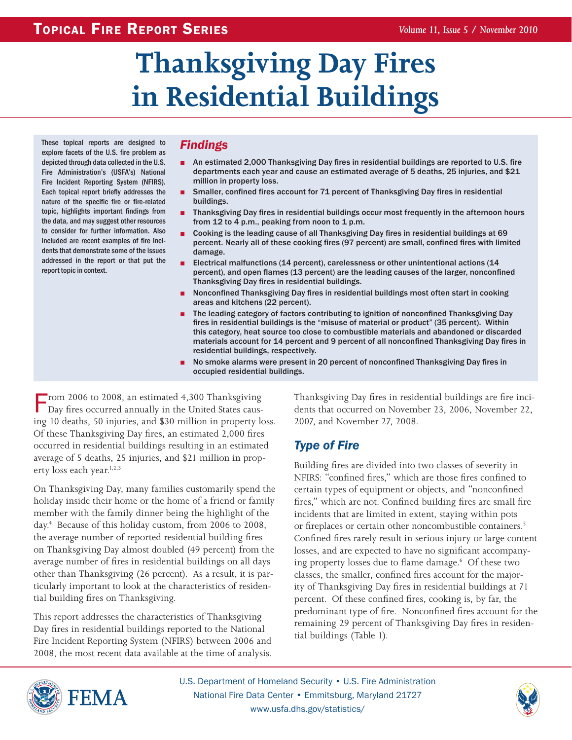# **Thanksgiving Day Fires in Residential Buildings**

These topical reports are designed to explore facets of the U.S. fire problem as depicted through data collected in the U.S. Fire Administration's (USFA's) National Fire Incident Reporting System (NFIRS). Each topical report briefly addresses the nature of the specific fire or fire-related topic, highlights important findings from the data, and may suggest other resources to consider for further information. Also included are recent examples of fire incidents that demonstrate some of the issues addressed in the report or that put the report topic in context.

# *Findings*

- An estimated 2,000 Thanksgiving Day fires in residential buildings are reported to U.S. fire departments each year and cause an estimated average of 5 deaths, 25 injuries, and \$21 million in property loss.
- Smaller, confined fires account for 71 percent of Thanksgiving Day fires in residential buildings.
- Thanksgiving Day fires in residential buildings occur most frequently in the afternoon hours from 12 to 4 p.m., peaking from noon to 1 p.m.
- Cooking is the leading cause of all Thanksgiving Day fires in residential buildings at 69 percent. Nearly all of these cooking fires (97 percent) are small, confined fires with limited damage.
- Electrical malfunctions (14 percent), carelessness or other unintentional actions (14 percent), and open flames (13 percent) are the leading causes of the larger, nonconfined Thanksgiving Day fires in residential buildings.
- Nonconfined Thanksgiving Day fires in residential buildings most often start in cooking areas and kitchens (22 percent).
- The leading category of factors contributing to ignition of nonconfined Thanksgiving Day fires in residential buildings is the "misuse of material or product" (35 percent). Within this category, heat source too close to combustible materials and abandoned or discarded materials account for 14 percent and 9 percent of all nonconfined Thanksgiving Day fires in residential buildings, respectively.
- No smoke alarms were present in 20 percent of nonconfined Thanksgiving Day fires in occupied residential buildings.

From 2006 to 2008, an estimated 4,300 Thanksgiving<br>Day fires occurred annually in the United States causing 10 deaths, 50 injuries, and \$30 million in property loss. Of these Thanksgiving Day fires, an estimated 2,000 fires occurred in residential buildings resulting in an estimated average of 5 deaths, 25 injuries, and \$21 million in property loss each year. $1,2,3$ 

On Thanksgiving Day, many families customarily spend the holiday inside their home or the home of a friend or family member with the family dinner being the highlight of the day.4 Because of this holiday custom, from 2006 to 2008, the average number of reported residential building fires on Thanksgiving Day almost doubled (49 percent) from the average number of fires in residential buildings on all days other than Thanksgiving (26 percent). As a result, it is particularly important to look at the characteristics of residential building fires on Thanksgiving.

This report addresses the characteristics of Thanksgiving Day fires in residential buildings reported to the National Fire Incident Reporting System (NFIRS) between 2006 and 2008, the most recent data available at the time of analysis. Thanksgiving Day fires in residential buildings are fire incidents that occurred on November 23, 2006, November 22, 2007, and November 27, 2008.

# *Type of Fire*

Building fires are divided into two classes of severity in NFIRS: "confined fires," which are those fires confined to certain types of equipment or objects, and "nonconfined fires," which are not. Confined building fires are small fire incidents that are limited in extent, staying within pots or fireplaces or certain other noncombustible containers.<sup>5</sup> Confined fires rarely result in serious injury or large content losses, and are expected to have no significant accompanying property losses due to flame damage.6 Of these two classes, the smaller, confined fires account for the majority of Thanksgiving Day fires in residential buildings at 71 percent. Of these confined fires, cooking is, by far, the predominant type of fire. Nonconfined fires account for the remaining 29 percent of Thanksgiving Day fires in residential buildings (Table 1).



U.S. Department of Homeland Security • U.S. Fire Administration National Fire Data Center • Emmitsburg, Maryland 21727 www.usfa.dhs.gov/statistics/

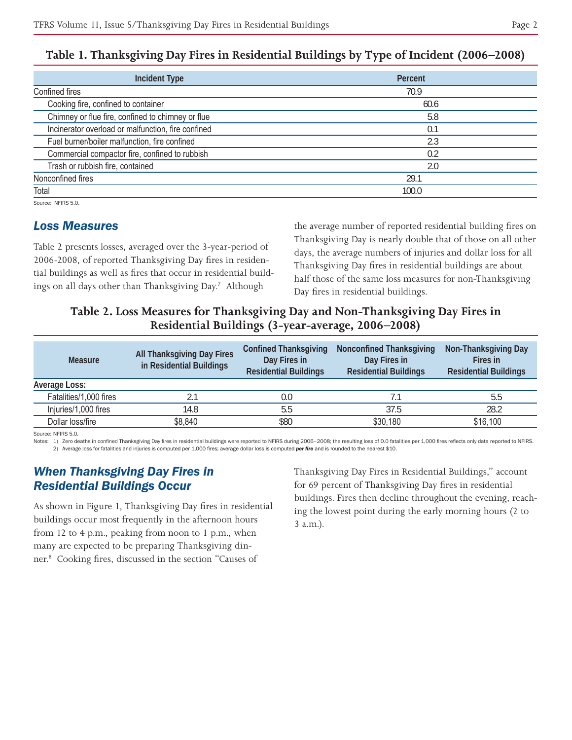| <b>Incident Type</b>                               | Percent |
|----------------------------------------------------|---------|
| Confined fires                                     | 70.9    |
| Cooking fire, confined to container                | 60.6    |
| Chimney or flue fire, confined to chimney or flue  | 5.8     |
| Incinerator overload or malfunction, fire confined | 0.1     |
| Fuel burner/boiler malfunction, fire confined      | 2.3     |
| Commercial compactor fire, confined to rubbish     | 0.2     |
| Trash or rubbish fire, contained                   | 2.0     |
| Nonconfined fires                                  | 29.1    |
| Total                                              | 100.0   |

### **Table 1. Thanksgiving Day Fires in Residential Buildings by Type of Incident (2006–2008)**

Source: NFIRS 5.0

#### *Loss Measures*

Table 2 presents losses, averaged over the 3-year-period of 2006-2008, of reported Thanksgiving Day fires in residential buildings as well as fires that occur in residential buildings on all days other than Thanksgiving Day.7 Although

the average number of reported residential building fires on Thanksgiving Day is nearly double that of those on all other days, the average numbers of injuries and dollar loss for all Thanksgiving Day fires in residential buildings are about half those of the same loss measures for non-Thanksgiving Day fires in residential buildings.

### **Table 2. Loss Measures for Thanksgiving Day and Non-Thanksgiving Day Fires in Residential Buildings (3-year-average, 2006–2008)**

| <b>Measure</b>         | All Thanksgiving Day Fires<br>in Residential Buildings | <b>Confined Thanksgiving</b><br>Day Fires in<br><b>Residential Buildings</b> | <b>Nonconfined Thanksgiving</b><br>Day Fires in<br><b>Residential Buildings</b> | Non-Thanksgiving Day<br>Fires in<br><b>Residential Buildings</b> |
|------------------------|--------------------------------------------------------|------------------------------------------------------------------------------|---------------------------------------------------------------------------------|------------------------------------------------------------------|
| Average Loss:          |                                                        |                                                                              |                                                                                 |                                                                  |
| Fatalities/1,000 fires |                                                        | 0.0                                                                          |                                                                                 | 5.5                                                              |
| Injuries/1,000 fires   | 14.8                                                   | 5.5                                                                          | 37.5                                                                            | 28.2                                                             |
| Dollar loss/fire       | \$8,840                                                | \$80                                                                         | \$30,180                                                                        | \$16,100                                                         |

Source: NFIRS 5.0.

Notes: 1) Zero deaths in confined Thanksgiving Day fires in residential buildings were reported to NFIRS during 2006-2008; the resulting loss of 0.0 fatalities per 1,000 fires reflects only data reported to NFIRS. 2) Average loss for fatalities and injuries is computed per 1,000 fires; average dollar loss is computed *per fire* and is rounded to the nearest \$10.

#### *When Thanksgiving Day Fires in Residential Buildings Occur*

As shown in Figure 1, Thanksgiving Day fires in residential buildings occur most frequently in the afternoon hours from 12 to 4 p.m., peaking from noon to 1 p.m., when many are expected to be preparing Thanksgiving dinner.8 Cooking fires, discussed in the section "Causes of

Thanksgiving Day Fires in Residential Buildings," account for 69 percent of Thanksgiving Day fires in residential buildings. Fires then decline throughout the evening, reaching the lowest point during the early morning hours (2 to 3 a.m.).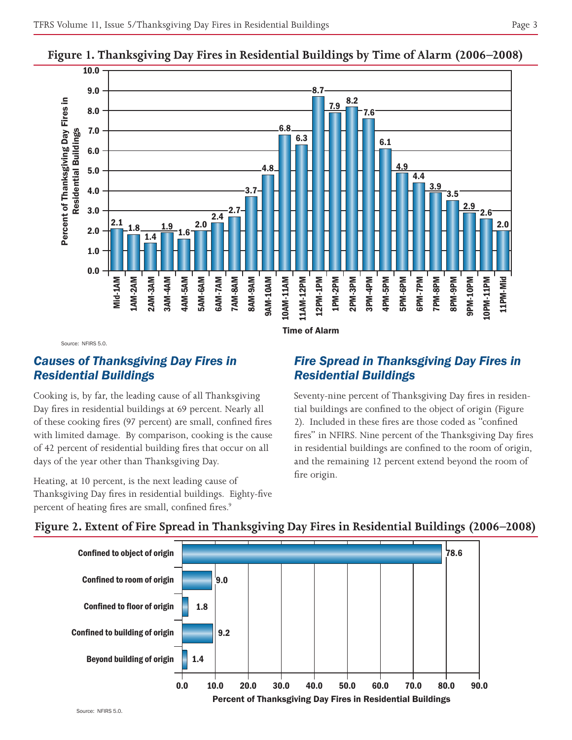

#### **Figure 1. Thanksgiving Day Fires in Residential Buildings by Time of Alarm (2006–2008)**

Source: NFIRS 5.0.

#### *Causes of Thanksgiving Day Fires in Residential Buildings*

Cooking is, by far, the leading cause of all Thanksgiving Day fires in residential buildings at 69 percent. Nearly all of these cooking fires (97 percent) are small, confined fires with limited damage. By comparison, cooking is the cause of 42 percent of residential building fires that occur on all days of the year other than Thanksgiving Day.

Heating, at 10 percent, is the next leading cause of Thanksgiving Day fires in residential buildings. Eighty-five percent of heating fires are small, confined fires.<sup>9</sup>

#### *Fire Spread in Thanksgiving Day Fires in Residential Buildings*

Seventy-nine percent of Thanksgiving Day fires in residential buildings are confined to the object of origin (Figure 2). Included in these fires are those coded as "confined fires" in NFIRS. Nine percent of the Thanksgiving Day fires in residential buildings are confined to the room of origin, and the remaining 12 percent extend beyond the room of fire origin.



#### **Figure 2. Extent of Fire Spread in Thanksgiving Day Fires in Residential Buildings (2006–2008)**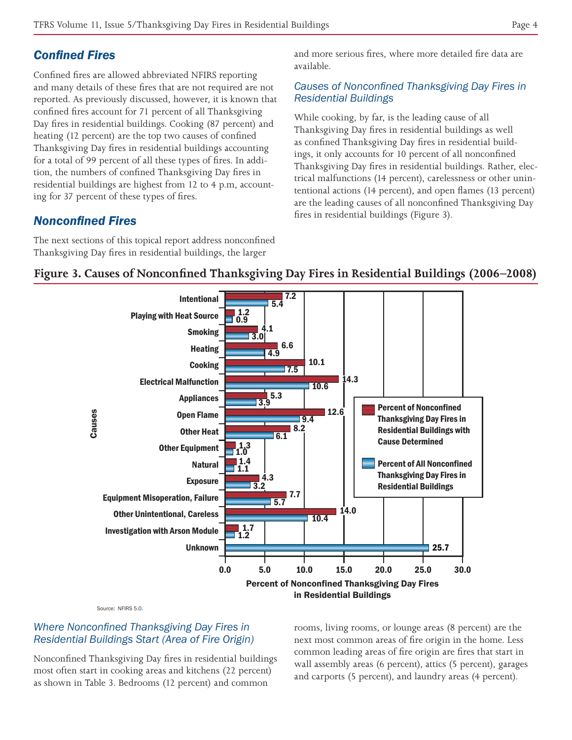# *Confined Fires*

Confined fires are allowed abbreviated NFIRS reporting and many details of these fires that are not required are not reported. As previously discussed, however, it is known that confined fires account for 71 percent of all Thanksgiving Day fires in residential buildings. Cooking (87 percent) and heating (12 percent) are the top two causes of confined Thanksgiving Day fires in residential buildings accounting for a total of 99 percent of all these types of fires. In addition, the numbers of confined Thanksgiving Day fires in residential buildings are highest from 12 to 4 p.m, accounting for 37 percent of these types of fires.

# *Nonconfined Fires*

The next sections of this topical report address nonconfined Thanksgiving Day fires in residential buildings, the larger

and more serious fires, where more detailed fire data are available.

#### *Causes of Nonconfined Thanksgiving Day Fires in Residential Buildings*

While cooking, by far, is the leading cause of all Thanksgiving Day fires in residential buildings as well as confined Thanksgiving Day fires in residential buildings, it only accounts for 10 percent of all nonconfined Thanksgiving Day fires in residential buildings. Rather, electrical malfunctions (14 percent), carelessness or other unintentional actions (14 percent), and open flames (13 percent) are the leading causes of all nonconfined Thanksgiving Day fires in residential buildings (Figure 3).



#### **Figure 3. Causes of Nonconfined Thanksgiving Day Fires in Residential Buildings (2006–2008)**

Source: NFIRS 5.0.

#### *Where Nonconfined Thanksgiving Day Fires in Residential Buildings Start (Area of Fire Origin)*

Nonconfined Thanksgiving Day fires in residential buildings most often start in cooking areas and kitchens (22 percent) as shown in Table 3. Bedrooms (12 percent) and common

rooms, living rooms, or lounge areas (8 percent) are the next most common areas of fire origin in the home. Less common leading areas of fire origin are fires that start in wall assembly areas (6 percent), attics (5 percent), garages and carports (5 percent), and laundry areas (4 percent).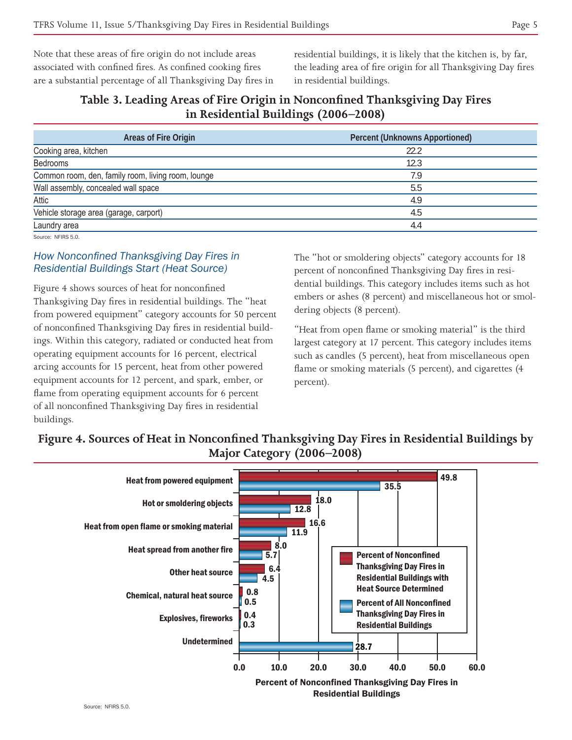Note that these areas of fire origin do not include areas associated with confined fires. As confined cooking fires are a substantial percentage of all Thanksgiving Day fires in residential buildings, it is likely that the kitchen is, by far, the leading area of fire origin for all Thanksgiving Day fires in residential buildings.

### **Table 3. Leading Areas of Fire Origin in Nonconfined Thanksgiving Day Fires in Residential Buildings (2006–2008)**

| Areas of Fire Origin                               | <b>Percent (Unknowns Apportioned)</b> |
|----------------------------------------------------|---------------------------------------|
| Cooking area, kitchen                              | 22.2                                  |
| Bedrooms                                           | 12.3                                  |
| Common room, den, family room, living room, lounge | 7.9                                   |
| Wall assembly, concealed wall space                | 5.5                                   |
| Attic                                              | 4.9                                   |
| Vehicle storage area (garage, carport)             | 4.5                                   |
| Laundry area                                       | 4.4                                   |
| Source: NFIRS 5.0.                                 |                                       |

#### *How Nonconfined Thanksgiving Day Fires in Residential Buildings Start (Heat Source)*

Figure 4 shows sources of heat for nonconfined Thanksgiving Day fires in residential buildings. The "heat from powered equipment" category accounts for 50 percent of nonconfined Thanksgiving Day fires in residential buildings. Within this category, radiated or conducted heat from operating equipment accounts for 16 percent, electrical arcing accounts for 15 percent, heat from other powered equipment accounts for 12 percent, and spark, ember, or flame from operating equipment accounts for 6 percent of all nonconfined Thanksgiving Day fires in residential buildings.

The "hot or smoldering objects" category accounts for 18 percent of nonconfined Thanksgiving Day fires in residential buildings. This category includes items such as hot embers or ashes (8 percent) and miscellaneous hot or smoldering objects (8 percent).

"Heat from open flame or smoking material" is the third largest category at 17 percent. This category includes items such as candles (5 percent), heat from miscellaneous open flame or smoking materials (5 percent), and cigarettes (4 percent).

# **Figure 4. Sources of Heat in Nonconfined Thanksgiving Day Fires in Residential Buildings by Major Category (2006–2008)**

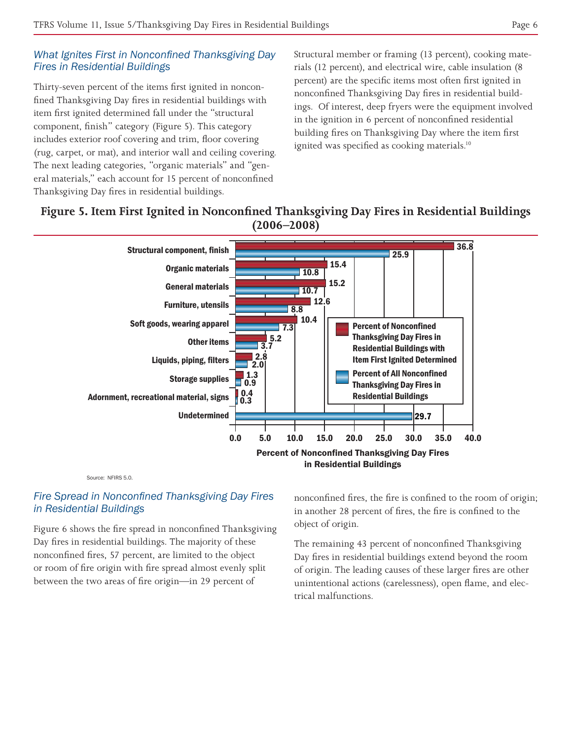#### *What Ignites First in Nonconfined Thanksgiving Day Fires in Residential Buildings*

Thirty-seven percent of the items first ignited in nonconfined Thanksgiving Day fires in residential buildings with item first ignited determined fall under the "structural component, finish" category (Figure 5). This category includes exterior roof covering and trim, floor covering (rug, carpet, or mat), and interior wall and ceiling covering. The next leading categories, "organic materials" and "general materials," each account for 15 percent of nonconfined Thanksgiving Day fires in residential buildings.

Structural member or framing (13 percent), cooking materials (12 percent), and electrical wire, cable insulation (8 percent) are the specific items most often first ignited in nonconfined Thanksgiving Day fires in residential buildings. Of interest, deep fryers were the equipment involved in the ignition in 6 percent of nonconfined residential building fires on Thanksgiving Day where the item first ignited was specified as cooking materials.<sup>10</sup>

# **Figure 5. Item First Ignited in Nonconfined Thanksgiving Day Fires in Residential Buildings (2006–2008)**



Source: NFIRS 5.0.

#### *Fire Spread in Nonconfined Thanksgiving Day Fires in Residential Buildings*

Figure 6 shows the fire spread in nonconfined Thanksgiving Day fires in residential buildings. The majority of these nonconfined fires, 57 percent, are limited to the object or room of fire origin with fire spread almost evenly split between the two areas of fire origin—in 29 percent of

nonconfined fires, the fire is confined to the room of origin; in another 28 percent of fires, the fire is confined to the object of origin.

The remaining 43 percent of nonconfined Thanksgiving Day fires in residential buildings extend beyond the room of origin. The leading causes of these larger fires are other unintentional actions (carelessness), open flame, and electrical malfunctions.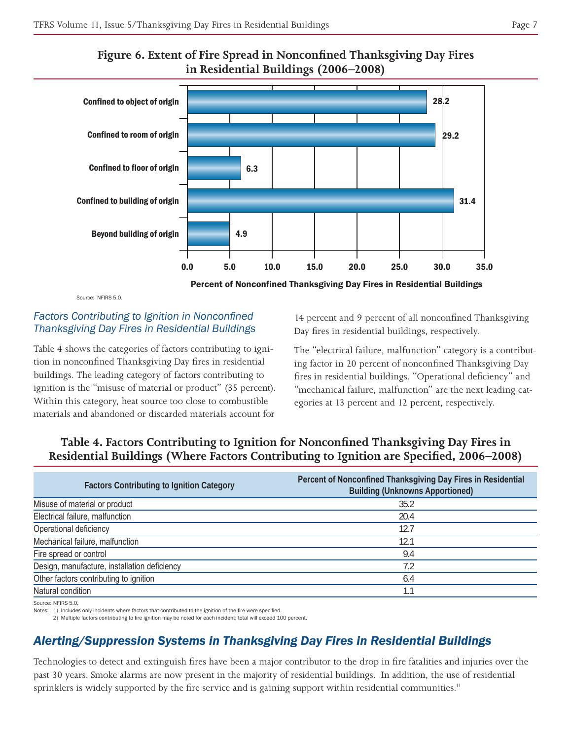



Source: NEIRS 5.0.

#### *Factors Contributing to Ignition in Nonconfined Thanksgiving Day Fires in Residential Buildings*

Table 4 shows the categories of factors contributing to ignition in nonconfined Thanksgiving Day fires in residential buildings. The leading category of factors contributing to ignition is the "misuse of material or product" (35 percent). Within this category, heat source too close to combustible materials and abandoned or discarded materials account for

14 percent and 9 percent of all nonconfined Thanksgiving Day fires in residential buildings, respectively.

The "electrical failure, malfunction" category is a contributing factor in 20 percent of nonconfined Thanksgiving Day fires in residential buildings. "Operational deficiency" and "mechanical failure, malfunction" are the next leading categories at 13 percent and 12 percent, respectively.

# **Table 4. Factors Contributing to Ignition for Nonconfined Thanksgiving Day Fires in Residential Buildings (Where Factors Contributing to Ignition are Specified, 2006–2008)**

| <b>Factors Contributing to Ignition Category</b> | Percent of Nonconfined Thanksgiving Day Fires in Residential<br><b>Building (Unknowns Apportioned)</b> |
|--------------------------------------------------|--------------------------------------------------------------------------------------------------------|
| Misuse of material or product                    | 35.2                                                                                                   |
| Electrical failure, malfunction                  | 20.4                                                                                                   |
| Operational deficiency                           | 12.7                                                                                                   |
| Mechanical failure, malfunction                  | 12.1                                                                                                   |
| Fire spread or control                           | 9.4                                                                                                    |
| Design, manufacture, installation deficiency     | 7.2                                                                                                    |
| Other factors contributing to ignition           | 6.4                                                                                                    |
| Natural condition                                |                                                                                                        |

Source: NFIRS 5.0.

Notes: 1) Includes only incidents where factors that contributed to the ignition of the fire were specified.

2) Multiple factors contributing to fire ignition may be noted for each incident; total will exceed 100 percent.

# *Alerting/Suppression Systems in Thanksgiving Day Fires in Residential Buildings*

Technologies to detect and extinguish fires have been a major contributor to the drop in fire fatalities and injuries over the past 30 years. Smoke alarms are now present in the majority of residential buildings. In addition, the use of residential sprinklers is widely supported by the fire service and is gaining support within residential communities.<sup>11</sup>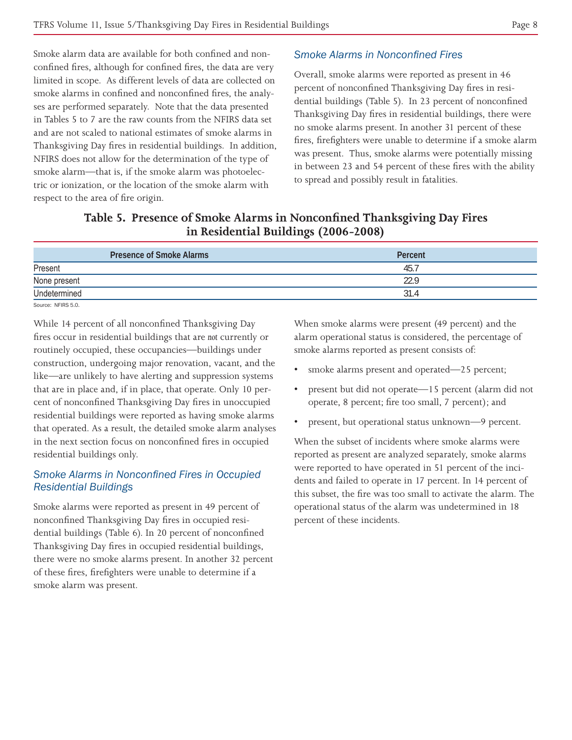Smoke alarm data are available for both confined and nonconfined fires, although for confined fires, the data are very limited in scope. As different levels of data are collected on smoke alarms in confined and nonconfined fires, the analyses are performed separately. Note that the data presented in Tables 5 to 7 are the raw counts from the NFIRS data set and are not scaled to national estimates of smoke alarms in Thanksgiving Day fires in residential buildings. In addition, NFIRS does not allow for the determination of the type of smoke alarm—that is, if the smoke alarm was photoelectric or ionization, or the location of the smoke alarm with respect to the area of fire origin.

#### *Smoke Alarms in Nonconfined Fires*

Overall, smoke alarms were reported as present in 46 percent of nonconfined Thanksgiving Day fires in residential buildings (Table 5). In 23 percent of nonconfined Thanksgiving Day fires in residential buildings, there were no smoke alarms present. In another 31 percent of these fires, firefighters were unable to determine if a smoke alarm was present. Thus, smoke alarms were potentially missing in between 23 and 54 percent of these fires with the ability to spread and possibly result in fatalities.

| Table 5. Presence of Smoke Alarms in Nonconfined Thanksgiving Day Fires |
|-------------------------------------------------------------------------|
| in Residential Buildings (2006-2008)                                    |

| <b>Presence of Smoke Alarms</b> | Percent |
|---------------------------------|---------|
| Present                         | 45.7    |
| None present                    | 22.9    |
| Undetermined                    | 31.4    |
| Source: NFIRS 5.0.              |         |

While 14 percent of all nonconfined Thanksgiving Day fires occur in residential buildings that are *not* currently or routinely occupied, these occupancies—buildings under construction, undergoing major renovation, vacant, and the like—are unlikely to have alerting and suppression systems that are in place and, if in place, that operate. Only 10 percent of nonconfined Thanksgiving Day fires in unoccupied residential buildings were reported as having smoke alarms that operated. As a result, the detailed smoke alarm analyses in the next section focus on nonconfined fires in occupied residential buildings only.

#### *Smoke Alarms in Nonconfined Fires in Occupied Residential Buildings*

Smoke alarms were reported as present in 49 percent of nonconfined Thanksgiving Day fires in occupied residential buildings (Table 6). In 20 percent of nonconfined Thanksgiving Day fires in occupied residential buildings, there were no smoke alarms present. In another 32 percent of these fires, firefighters were unable to determine if a smoke alarm was present.

When smoke alarms were present (49 percent) and the alarm operational status is considered, the percentage of smoke alarms reported as present consists of:

- smoke alarms present and operated—25 percent;
- present but did not operate—15 percent (alarm did not operate, 8 percent; fire too small, 7 percent); and
- present, but operational status unknown—9 percent.

When the subset of incidents where smoke alarms were reported as present are analyzed separately, smoke alarms were reported to have operated in 51 percent of the incidents and failed to operate in 17 percent. In 14 percent of this subset, the fire was too small to activate the alarm. The operational status of the alarm was undetermined in 18 percent of these incidents.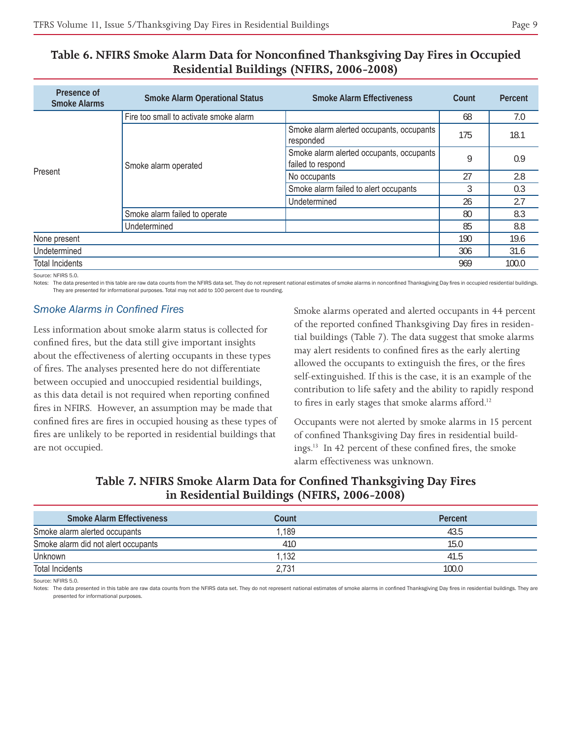| Table 6. NFIRS Smoke Alarm Data for Nonconfined Thanksgiving Day Fires in Occupied |  |
|------------------------------------------------------------------------------------|--|
| Residential Buildings (NFIRS, 2006-2008)                                           |  |

| Presence of<br><b>Smoke Alarms</b> | <b>Smoke Alarm Operational Status</b>  | <b>Smoke Alarm Effectiveness</b>                              | Count | Percent |
|------------------------------------|----------------------------------------|---------------------------------------------------------------|-------|---------|
|                                    | Fire too small to activate smoke alarm |                                                               | 68    | 7.0     |
| Present                            | Smoke alarm operated                   | Smoke alarm alerted occupants, occupants<br>responded         | 175   | 18.1    |
|                                    |                                        | Smoke alarm alerted occupants, occupants<br>failed to respond | 9     | 0.9     |
|                                    |                                        | No occupants                                                  | 27    | 2.8     |
|                                    |                                        | Smoke alarm failed to alert occupants                         | 3     | 0.3     |
|                                    |                                        | Undetermined                                                  | 26    | 2.7     |
|                                    | Smoke alarm failed to operate          |                                                               | 80    | 8.3     |
|                                    | Undetermined                           |                                                               | 85    | 8.8     |
| None present                       |                                        |                                                               | 190   | 19.6    |
| Undetermined                       |                                        | 306                                                           | 31.6  |         |
| <b>Total Incidents</b>             |                                        |                                                               | 969   | 100.0   |

Source: NFIRS 5.0.

Notes: The data presented in this table are raw data counts from the NFIRS data set. They do not represent national estimates of smoke alarms in nonconfined Thanksgiving Day fires in occupied residential buildings. They are presented for informational purposes. Total may not add to 100 percent due to rounding.

#### *Smoke Alarms in Confined Fires*

Less information about smoke alarm status is collected for confined fires, but the data still give important insights about the effectiveness of alerting occupants in these types of fires. The analyses presented here do not differentiate between occupied and unoccupied residential buildings, as this data detail is not required when reporting confined fires in NFIRS. However, an assumption may be made that confined fires are fires in occupied housing as these types of fires are unlikely to be reported in residential buildings that are not occupied.

Smoke alarms operated and alerted occupants in 44 percent of the reported confined Thanksgiving Day fires in residential buildings (Table 7). The data suggest that smoke alarms may alert residents to confined fires as the early alerting allowed the occupants to extinguish the fires, or the fires self-extinguished. If this is the case, it is an example of the contribution to life safety and the ability to rapidly respond to fires in early stages that smoke alarms afford.<sup>12</sup>

Occupants were not alerted by smoke alarms in 15 percent of confined Thanksgiving Day fires in residential buildings.13 In 42 percent of these confined fires, the smoke alarm effectiveness was unknown.

### **Smoke Alarm Effectiveness Count Percent** Smoke alarm alerted occupants and the state of the state of the 1,189 43.5 and the state of the 43.5 Smoke alarm did not alert occupants and the state of the 410 15.0 model in the 410 15.0 model in the 410 15.0 model in the 410 15.0 model in the 410 15.0 model in the 410 15.0 model in the 410 model in the 410 model in the Unknown 1,132 41.5 Total Incidents 2,731 2000 10000 10000 10000 10000 10000 10000 10000 10000 10000 10000 10000 10000 10000 10000

#### **Table 7. NFIRS Smoke Alarm Data for Confined Thanksgiving Day Fires in Residential Buildings (NFIRS, 2006-2008)**

Source: NFIRS 5.0.

Notes: The data presented in this table are raw data counts from the NFIRS data set. They do not represent national estimates of smoke alarms in confined Thanksgiving Day fires in residential buildings. They are presented for informational purposes.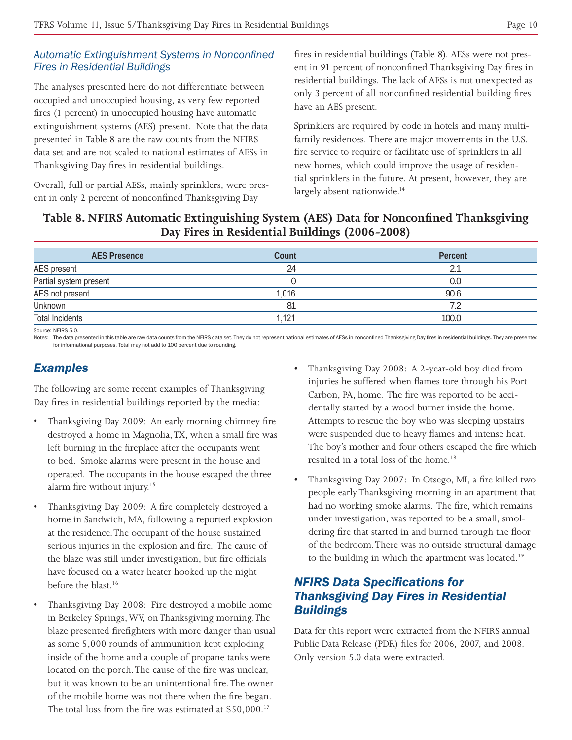#### *Automatic Extinguishment Systems in Nonconfined Fires in Residential Buildings*

The analyses presented here do not differentiate between occupied and unoccupied housing, as very few reported fires (1 percent) in unoccupied housing have automatic extinguishment systems (AES) present. Note that the data presented in Table 8 are the raw counts from the NFIRS data set and are not scaled to national estimates of AESs in Thanksgiving Day fires in residential buildings.

Overall, full or partial AESs, mainly sprinklers, were present in only 2 percent of nonconfined Thanksgiving Day

fires in residential buildings (Table 8). AESs were not present in 91 percent of nonconfined Thanksgiving Day fires in residential buildings. The lack of AESs is not unexpected as only 3 percent of all nonconfined residential building fires have an AES present.

Sprinklers are required by code in hotels and many multifamily residences. There are major movements in the U.S. fire service to require or facilitate use of sprinklers in all new homes, which could improve the usage of residential sprinklers in the future. At present, however, they are largely absent nationwide.<sup>14</sup>

### **Table 8. NFIRS Automatic Extinguishing System (AES) Data for Nonconfined Thanksgiving Day Fires in Residential Buildings (2006-2008)**

| <b>AES Presence</b>    | Count | Percent |
|------------------------|-------|---------|
| AES present            | 24    |         |
| Partial system present |       | 0.0     |
| AES not present        | 1,016 | 90.6    |
| Unknown                | 81    |         |
| <b>Total Incidents</b> | .121  | 100.0   |

Source: NFIRS 5.0.

Notes: The data presented in this table are raw data counts from the NFIRS data set. They do not represent national estimates of AESs in nonconfined Thanksgiving Day fires in residential buildings. They are presented for informational purposes. Total may not add to 100 percent due to rounding.

#### *Examples*

The following are some recent examples of Thanksgiving Day fires in residential buildings reported by the media:

- Thanksgiving Day 2009: An early morning chimney fire destroyed a home in Magnolia, TX, when a small fire was left burning in the fireplace after the occupants went to bed. Smoke alarms were present in the house and operated. The occupants in the house escaped the three alarm fire without injury.<sup>15</sup>
- Thanksgiving Day 2009: A fire completely destroyed a home in Sandwich, MA, following a reported explosion at the residence. The occupant of the house sustained serious injuries in the explosion and fire. The cause of the blaze was still under investigation, but fire officials have focused on a water heater hooked up the night before the blast.<sup>16</sup>
- Thanksgiving Day 2008: Fire destroyed a mobile home in Berkeley Springs, WV, on Thanksgiving morning. The blaze presented firefighters with more danger than usual as some 5,000 rounds of ammunition kept exploding inside of the home and a couple of propane tanks were located on the porch. The cause of the fire was unclear, but it was known to be an unintentional fire. The owner of the mobile home was not there when the fire began. The total loss from the fire was estimated at \$50,000.<sup>17</sup>
- Thanksgiving Day 2008: A 2-year-old boy died from injuries he suffered when flames tore through his Port Carbon, PA, home. The fire was reported to be accidentally started by a wood burner inside the home. Attempts to rescue the boy who was sleeping upstairs were suspended due to heavy flames and intense heat. The boy's mother and four others escaped the fire which resulted in a total loss of the home.<sup>18</sup>
- Thanksgiving Day 2007: In Otsego, MI, a fire killed two people early Thanksgiving morning in an apartment that had no working smoke alarms. The fire, which remains under investigation, was reported to be a small, smoldering fire that started in and burned through the floor of the bedroom. There was no outside structural damage to the building in which the apartment was located.<sup>19</sup>

# *NFIRS Data Specifications for Thanksgiving Day Fires in Residential Buildings*

Data for this report were extracted from the NFIRS annual Public Data Release (PDR) files for 2006, 2007, and 2008. Only version 5.0 data were extracted.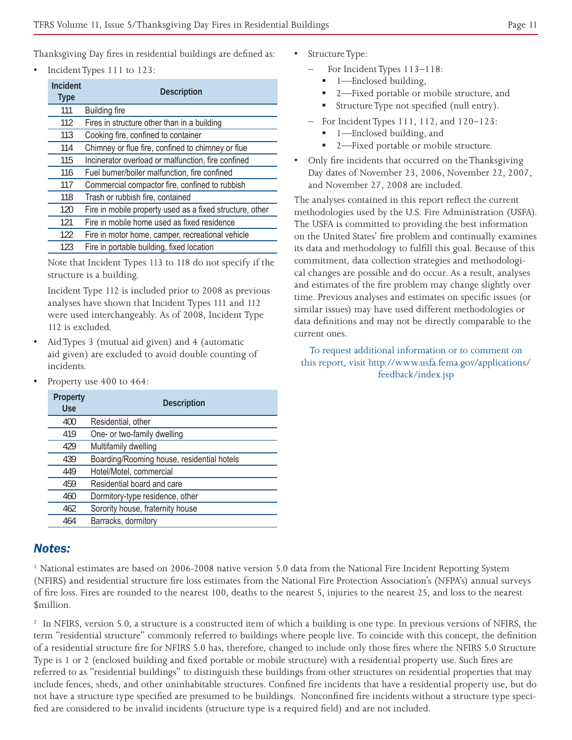Thanksgiving Day fires in residential buildings are defined as:

• Incident Types 111 to 123:

| <b>Incident</b><br><b>Type</b> | <b>Description</b>                                       |
|--------------------------------|----------------------------------------------------------|
| 111                            | <b>Building fire</b>                                     |
| 112                            | Fires in structure other than in a building              |
| 113                            | Cooking fire, confined to container                      |
| 114                            | Chimney or flue fire, confined to chimney or flue        |
| 115                            | Incinerator overload or malfunction, fire confined       |
| 116                            | Fuel burner/boiler malfunction, fire confined            |
| 117                            | Commercial compactor fire, confined to rubbish           |
| 118                            | Trash or rubbish fire, contained                         |
| 120                            | Fire in mobile property used as a fixed structure, other |
| 121                            | Fire in mobile home used as fixed residence              |
| 122                            | Fire in motor home, camper, recreational vehicle         |
| 123                            | Fire in portable building, fixed location                |

Note that Incident Types 113 to 118 do not specify if the structure is a building.

Incident Type 112 is included prior to 2008 as previous analyses have shown that Incident Types 111 and 112 were used interchangeably. As of 2008, Incident Type 112 is excluded.

- Aid Types 3 (mutual aid given) and 4 (automatic aid given) are excluded to avoid double counting of incidents.
- Property use  $400$  to  $464$ :

| Property<br><b>Use</b> | <b>Description</b>                         |
|------------------------|--------------------------------------------|
| 400                    | Residential, other                         |
| 419                    | One- or two-family dwelling                |
| 429                    | Multifamily dwelling                       |
| 439                    | Boarding/Rooming house, residential hotels |
| 449                    | Hotel/Motel, commercial                    |
| 459                    | Residential board and care                 |
| 460                    | Dormitory-type residence, other            |
| 462                    | Sorority house, fraternity house           |
| 464                    | Barracks, dormitory                        |

#### *Notes:*

1 National estimates are based on 2006-2008 native version 5.0 data from the National Fire Incident Reporting System (NFIRS) and residential structure fire loss estimates from the National Fire Protection Association's (NFPA's) annual surveys of fire loss. Fires are rounded to the nearest 100, deaths to the nearest 5, injuries to the nearest 25, and loss to the nearest \$million.

<sup>2</sup> In NFIRS, version 5.0, a structure is a constructed item of which a building is one type. In previous versions of NFIRS, the term "residential structure" commonly referred to buildings where people live. To coincide with this concept, the definition of a residential structure fire for NFIRS 5.0 has, therefore, changed to include only those fires where the NFIRS 5.0 Structure Type is 1 or 2 (enclosed building and fixed portable or mobile structure) with a residential property use. Such fires are referred to as "residential buildings" to distinguish these buildings from other structures on residential properties that may include fences, sheds, and other uninhabitable structures. Confined fire incidents that have a residential property use, but do not have a structure type specified are presumed to be buildings. Nonconfined fire incidents without a structure type specified are considered to be invalid incidents (structure type is a required field) and are not included.

- Structure Type:
	- For Incident Types 113-118:
		- 1—Enclosed building,
		- 2—Fixed portable or mobile structure, and
		- Structure Type not specified (null entry).
	- For Incident Types 111, 112, and 120–123:
		- 1—Enclosed building, and
		- 2—Fixed portable or mobile structure.
- Only fire incidents that occurred on the Thanksgiving Day dates of November 23, 2006, November 22, 2007, and November 27, 2008 are included.

The analyses contained in this report reflect the current methodologies used by the U.S. Fire Administration (USFA). The USFA is committed to providing the best information on the United States' fire problem and continually examines its data and methodology to fulfill this goal. Because of this commitment, data collection strategies and methodological changes are possible and do occur. As a result, analyses and estimates of the fire problem may change slightly over time. Previous analyses and estimates on specific issues (or similar issues) may have used different methodologies or data definitions and may not be directly comparable to the current ones.

#### To request additional information or to comment on this report, visit http://www.usfa.fema.gov/applications/ feedback/index.jsp